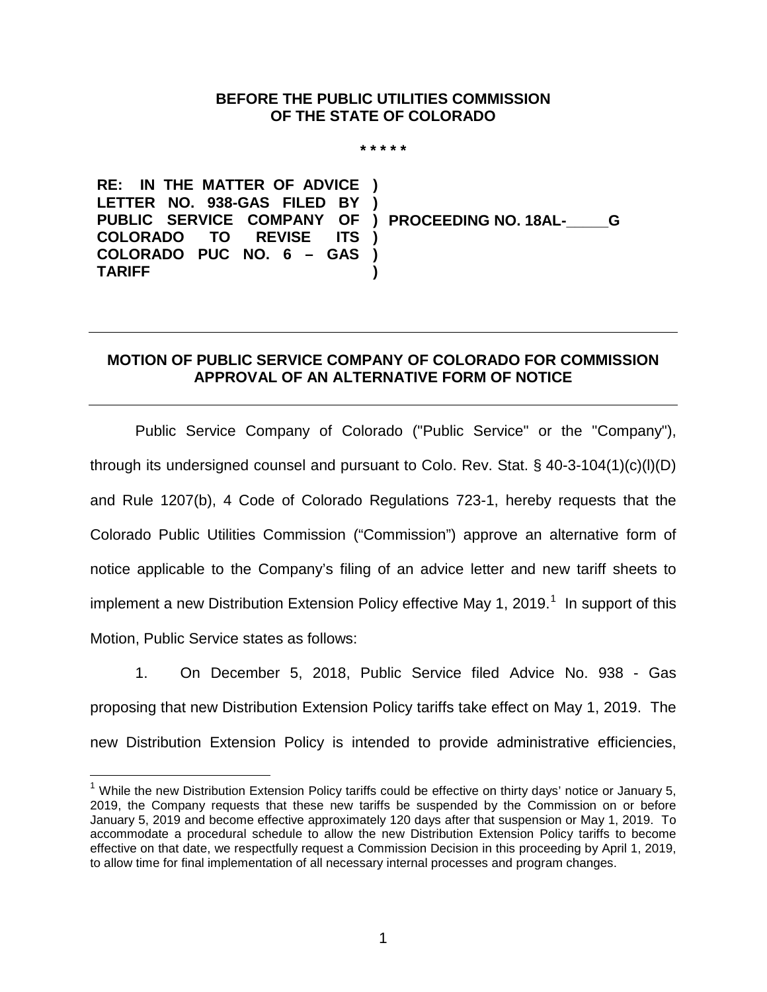## **BEFORE THE PUBLIC UTILITIES COMMISSION OF THE STATE OF COLORADO**

**\* \* \* \* \***

**RE: IN THE MATTER OF ADVICE LETTER NO. 938-GAS FILED BY PUBLIC SERVICE COMPANY OF COLORADO TO REVISE ITS COLORADO PUC NO. 6 – GAS ) TARIFF ) ) ) PROCEEDING NO. 18AL-\_\_\_\_\_G ) )**

## **MOTION OF PUBLIC SERVICE COMPANY OF COLORADO FOR COMMISSION APPROVAL OF AN ALTERNATIVE FORM OF NOTICE**

Public Service Company of Colorado ("Public Service" or the "Company"), through its undersigned counsel and pursuant to Colo. Rev. Stat.  $\S$  40-3-104(1)(c)(l)(D) and Rule 1207(b), 4 Code of Colorado Regulations 723-1, hereby requests that the Colorado Public Utilities Commission ("Commission") approve an alternative form of notice applicable to the Company's filing of an advice letter and new tariff sheets to implement a new Distribution Extension Policy effective May [1](#page-0-0), 2019.<sup>1</sup> In support of this Motion, Public Service states as follows:

1. On December 5, 2018, Public Service filed Advice No. 938 - Gas proposing that new Distribution Extension Policy tariffs take effect on May 1, 2019. The new Distribution Extension Policy is intended to provide administrative efficiencies,

<span id="page-0-0"></span> $1$  While the new Distribution Extension Policy tariffs could be effective on thirty days' notice or January 5, 2019, the Company requests that these new tariffs be suspended by the Commission on or before January 5, 2019 and become effective approximately 120 days after that suspension or May 1, 2019. To accommodate a procedural schedule to allow the new Distribution Extension Policy tariffs to become effective on that date, we respectfully request a Commission Decision in this proceeding by April 1, 2019, to allow time for final implementation of all necessary internal processes and program changes.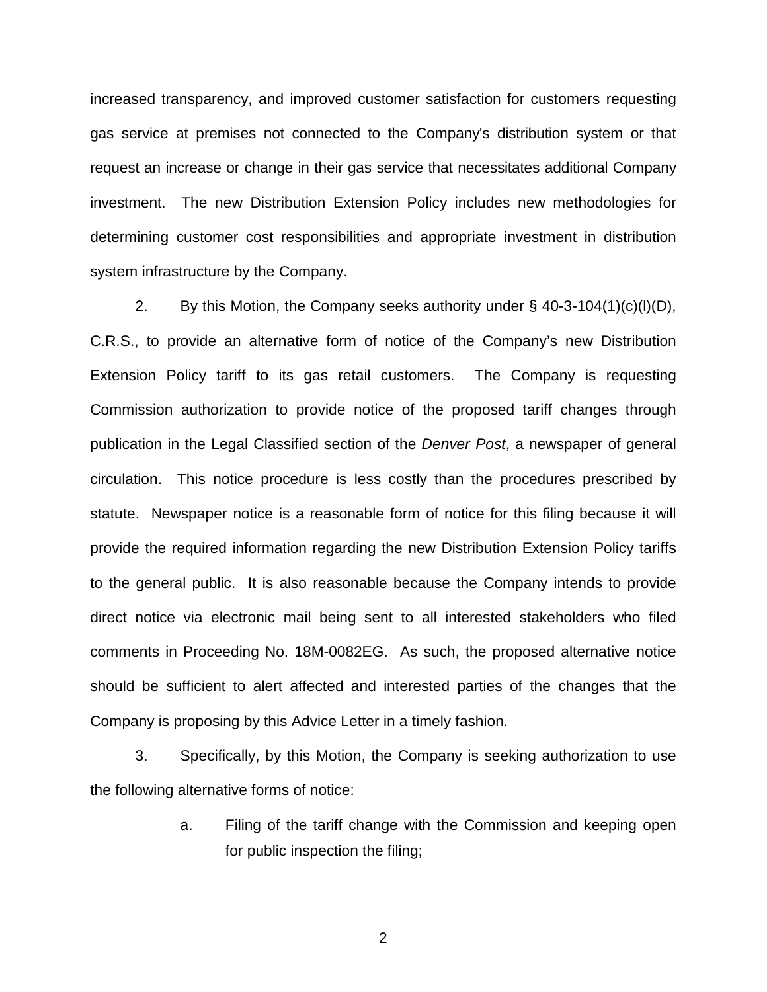increased transparency, and improved customer satisfaction for customers requesting gas service at premises not connected to the Company's distribution system or that request an increase or change in their gas service that necessitates additional Company investment. The new Distribution Extension Policy includes new methodologies for determining customer cost responsibilities and appropriate investment in distribution system infrastructure by the Company.

2. By this Motion, the Company seeks authority under  $\S$  40-3-104(1)(c)(l)(D), C.R.S., to provide an alternative form of notice of the Company's new Distribution Extension Policy tariff to its gas retail customers. The Company is requesting Commission authorization to provide notice of the proposed tariff changes through publication in the Legal Classified section of the *Denver Post*, a newspaper of general circulation. This notice procedure is less costly than the procedures prescribed by statute. Newspaper notice is a reasonable form of notice for this filing because it will provide the required information regarding the new Distribution Extension Policy tariffs to the general public. It is also reasonable because the Company intends to provide direct notice via electronic mail being sent to all interested stakeholders who filed comments in Proceeding No. 18M-0082EG. As such, the proposed alternative notice should be sufficient to alert affected and interested parties of the changes that the Company is proposing by this Advice Letter in a timely fashion.

3. Specifically, by this Motion, the Company is seeking authorization to use the following alternative forms of notice:

> a. Filing of the tariff change with the Commission and keeping open for public inspection the filing;

> > 2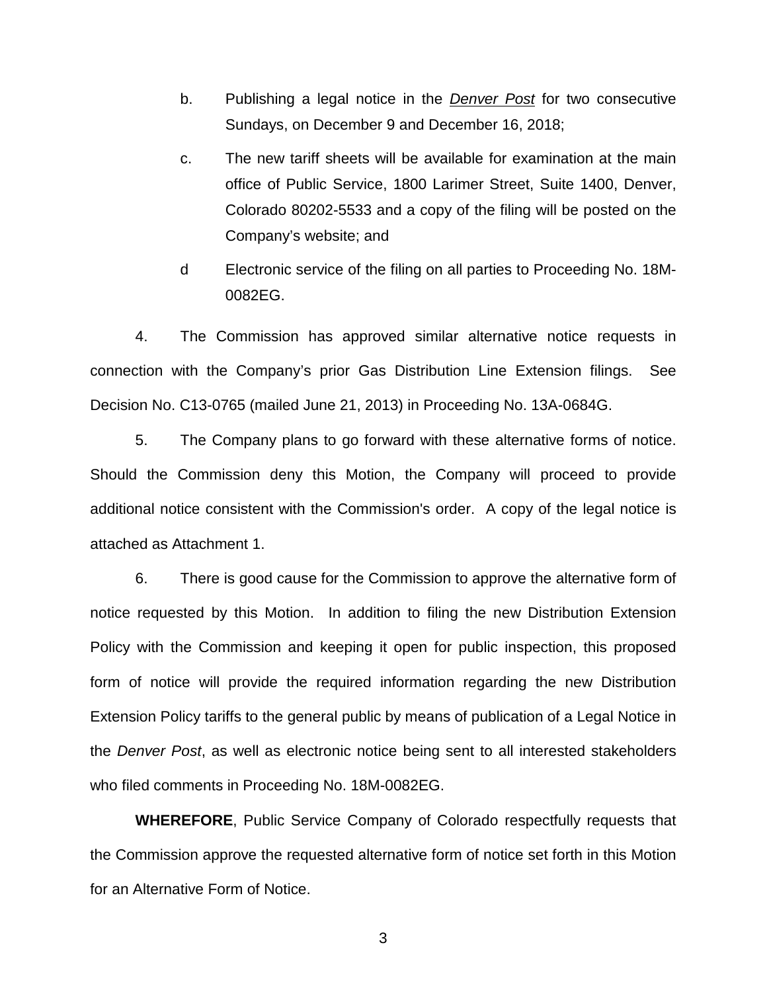- b. Publishing a legal notice in the *Denver Post* for two consecutive Sundays, on December 9 and December 16, 2018;
- c. The new tariff sheets will be available for examination at the main office of Public Service, 1800 Larimer Street, Suite 1400, Denver, Colorado 80202-5533 and a copy of the filing will be posted on the Company's website; and
- d Electronic service of the filing on all parties to Proceeding No. 18M-0082EG.

4. The Commission has approved similar alternative notice requests in connection with the Company's prior Gas Distribution Line Extension filings. See Decision No. C13-0765 (mailed June 21, 2013) in Proceeding No. 13A-0684G.

5. The Company plans to go forward with these alternative forms of notice. Should the Commission deny this Motion, the Company will proceed to provide additional notice consistent with the Commission's order. A copy of the legal notice is attached as Attachment 1.

6. There is good cause for the Commission to approve the alternative form of notice requested by this Motion. In addition to filing the new Distribution Extension Policy with the Commission and keeping it open for public inspection, this proposed form of notice will provide the required information regarding the new Distribution Extension Policy tariffs to the general public by means of publication of a Legal Notice in the *Denver Post*, as well as electronic notice being sent to all interested stakeholders who filed comments in Proceeding No. 18M-0082EG.

**WHEREFORE**, Public Service Company of Colorado respectfully requests that the Commission approve the requested alternative form of notice set forth in this Motion for an Alternative Form of Notice.

3